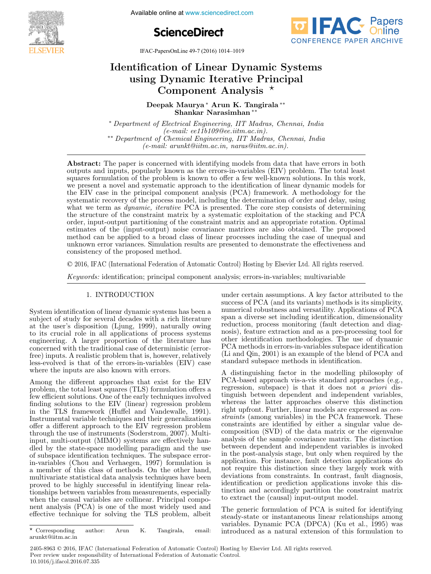

**11.1999 11.1999 11.1999 11.1999 11.1999 11.1999 11.1999 11.1999 11.1999 11.1999 11.1999 11.1999 11.1999 11.1999 11.1999 11.1999 11.1999 11.1999 11.1999 11.1999 11.1999 11.1999 11.1999 11.1999 11.1999 11.1999 11.1999 11.19** 





IFAC-PapersOnLine 49-7 (2016) 1014–1019 If AC-1 aperson time  $49$ -7 (2010) 1014–1019

# Identification of Linear Dynamic Systems using Dynamic Iterative Principal Component Analysis Component Analysis  $\ddot{\bullet}$  and  $\ddot{\bullet}$  $\mathbf{I}$  is the system of Linear Dynamic Systems of  $\mathbf{I}$ uncation of Linear Dynamic Syst

Deepak Maurya ∗ Arun K. Tangirala ∗∗ Shankar Narasimhan ∗∗ Deepak Maurya ∗ Arun K. Tangirala ∗∗ Deepak Maurya<sup>∗</sup> Arun K. Tangirala<sup>∗∗</sup> Naurya Arun **K.** Ian Shankar Narasimhan ∗∗

∗ Department of Electrical Engineering, IIT Madras, Chennai, India (e-mail: ee11b109@ee.iitm.ac.in). (e-mail: ee11b109@ee.iitm.ac.in). (e-mail: ee11b109@ee.iitm.ac.in). ∗∗ Department of Chemical Engineering, IIT Madras, Chennai, India ∗∗ Department of Chemical Engineering, IIT Madras, Chennai, India ∗∗ Department of Chemical Engineering, IIT Madras, Chennai, India  $(e - m\omega\omega, \omega\omega)$  are  $\omega\omega\omega\omega$  none  $\omega\omega\omega$  narras  $\omega\omega\omega$ . ∗ Department of Electrical Engineering, IIT Madras, Chennai, India ∗ Department of Electrical Engineering, IIT Madras, Chennai, India (e-mail: arunkt@iitm.ac.in, naras@iitm.ac.in). (e-mail: arunkt@iitm.ac.in, naras@iitm.ac.in). ∗∗ Department of Chemical Engineering, IIT Madras, Chennai, India  $(e\text{-}mail: e\text{}ell1b109@ee\text{}.utm.ac.in).$ Chemical Engineering, IIT Madri

(e-mail: arunktiko arunktiko arunktiko arunktiko arunktiko arunktiko arunktiko arunktiko arunktiko arunktiko a<br>Europain

outputs and inputs, popularly known as the errors-in-variables (EIV) problem. The total least squares formulation of the problem is known to offer a few well-known solutions. In this work, we present a novel and systematic approach to the identification of linear dynamic models for the EW space in the principal comparator and  $(DCA)$  for space of  $A$  with a delay for the the EIV case in the principal component analysis (PCA) framework. A methodology for the systematic recovery of the process model, including the determination of order and delay, using  $\mathbb{R}^n$ , the process model  $\mathbb{R}^n$ what we term as *dynamic, iterative* PCA is presented. The core step consists of determining the structure of the constraint matrix by a systematic exploitation of the stacking and PCA  $_{\text{ex}}$  is presented. The stacking and  $_{\text{ex}}$  of the stacking  $_{\text{ex}}$  of the stacking  $_{\text{ex}}$ order, input-output partitioning of the constraint matrix and an appropriate rotation. Optimal order, input-output partitioning of the constraint matrix and an appropriate rotation. Optimal<br>estimates of the (input-output) noise covariance matrices are also obtained. The proposed method can be applied to a broad class of linear processes including the case of unequal and<br>matrices are also obtained. The proposed to a broad class of linear proposed to a broad class of active are and unknown error variances. Simulation results are presented to demonstrate the effectiveness and consistency of the proposed method. Abstract: The paper is concerned with identifying models from data that have errors in both  $\mu$ systematic recovery of the process model, including the determination of order and delay, using<br>what we term as *dynamic, iterative* PCA is presented. The core step consists of determining<br>the structure of the constraint m method can be applied to a broad class of linear processes including the case of unequal and<br>unknown error variances. Simulation results are presented to demonstrate the effectiveness and<br>consistency of the proposed method estimates of the (input-output) noise covariance matrices are also obtained. The proposed **Hentification of Linear Dynamic Systems**<br>
using Dynamic Isystems<br>
using Dynamic Ierative Principal<br>
Component Analysis \*<br>
Deepsk Manuya \* Arm K. Tangirala \*<br>
"Department of Electrical Expirements (If Mashes, Chemat, Indi  $\mathcal{L}_{\text{GUT}}$  and imputs, popularly above as the critical models from column solutions. In this work  $\frac{1}{2}$  outputs and inputs and increases the errors-in-variable for the errors-in-variables ( $\frac{1}{2}$ ) problem. The total least  $\frac{1}{2}$  are the total least  $\frac{1}{2}$  are the identification of linear dynamic models fo stephen is the problem in the problem in the problem in the problem in the problem in  $\mathbb{R}$ . This work,  $\mathbb{R}$  for the problem is  $\mathbb{R}$  for the problem in the principal component analysis (PCA) framework. A method we present a non-present and systematic approximation of order and delay using  $t_{\rm N}$  containt the eigenvalue in the process in the principal component and  $\tau_{\rm N}$  consists of distermining what we term as *uguarnet, iterative* recovery of the determination of the determination of  $\alpha$  and  $\beta$   $\alpha$  $\alpha$  the structure of the constructure of the constraint matrix  $\alpha$  systematic proposed  $\alpha$ . The proposed  $\alpha$  order that  $\alpha$  is the constraint matrix and an approximate rotation  $\alpha$  and  $\alpha$  and  $\alpha$  and  $\alpha$  and  $\alpha$  and  $\alpha$  and  $\alpha$  and  $\alpha$  and  $\alpha$  and  $\alpha$  and  $\alpha$  and  $\alpha$  and  $\alpha$  and  $\alpha$  and  $\alpha$  and  $\alpha$  and  $\alpha$ estimates of the copyright of the final state of the could be concerned to demonstrate the effectiveness and method can be a broad calculation of the application of the case of the case of the case of the case of unit and  $\epsilon$ 

© 2016, IFAC (International Federation of Automatic Control) Hosting by Elsevier Ltd. All rights reserved.  $\mathcal{L}(\mathcal{A})$  is identification; principal component analysis;  $\mathcal{A}(\mathcal{A})$  $\odot$  2016, IFAC (International Federation of

Keywords: identification; principal component analysis; errors-in-variables; multivariable Keywords: identification; principal component analysis; errors-in-variables; multivariable Keywords: identification; principal component analysis; errors-in-variables; multivariable

#### 1. INTRODUCTION 1. INTRODUCTION 1. INTRODUCTION 1. INTRODUCTION

System identification of linear dynamic systems has been a subject of study for several decades with a rich literature<br>at the user's disposition (Liung, 1999), naturally owing at the user's disposition (Ljung, 1999), naturally owing to its crucial role in all applications of process systems engineering. A larger proportion of the literature has to its crucial role in all applications of process systems<br>engineering. A larger proportion of the literature has<br>expressed with the traditional second deterministic (engage concerned with the traditional case of deterministic (error-free) inputs. A realistic problem that is, however, relatively free) inputs. A realistic problem that is, however, relatively free) inputs. A realistic problem that is, however, relatively ree) inputs. A realistic problem that is, nowever, relatively<br>less-evolved is that of the errors-in-variables (EIV) case where the inputs are also known with errors. system identification of finear dynamic systems has been a<br>subject of study for several decades with a rich literature where the inputs are also known with errors. less-evolved is that of the errors-in-variables (EIV) case system identification of finear dynamic systems has been a<br>subject of study for several decades with a rich literature subject of study for several decades with a field literature at the user's disposition (Ljung, 1999), naturally owing to its crucial role in all applications of process systems engineering. A larger proportion of the interature has where the inputs are also known with errors.

Among the different approaches that exist for the EIV problem, the total least squares (TLS) formulation offers a problem, the total least squares (TLS) formulation offers a<br>few efficient solutions. One of the early techniques involved rew emcrent solutions. One of the early techniques involved<br>finding solutions to the EIV (linear) regression problem in the TLS framework (Huffel and Vandewalle, 1991). Instrumental variable techniques and their generalizations Instrumental variable techniques and their generalizations Instrumental variable techniques and their generalizations offer a different approach to the EIV regression problem offer a different approach to the EIV regression problem offer a different approach to the EIV regression problem through the use of instruments (Soderstrom, 2007). Multi-through the use of instruments (Soderstrom, 2007). Multithrough the use of instruments (Soderstrom, 2007). Multi-input, multi-output (MIMO) systems are effectively han-input, multi-output (MIMO) systems are effectively haninput, multi-output (MIMO) systems are effectively han-dled by the state-space modelling paradigm and the use dled by the state-space modelling paradigm and the use dled by the state-space modelling paradigm and the use of subspace identification techniques. The subspace error-in-variables (Chou and Verhaegen, 1997) formulation is in-variables (Chou and Verhaegen, 1997) formulation is in-variables (Chou and Verhaegen, 1997) formulation is a member of this class of methods. On the other hand, a member of this class of methods. On the other hand, a member of this class of methods. On the other hand, a member of this class of methods. On the other hand, multivariate statistical data analysis techniques have been muitivariate statistical data analysis tecniques nave been<br>proved to be highly successful in identifying linear relationships between variables from measurements, especially when the causal variables are collinear. Principal compo-when the causal variables are collinear. Principal compowhen the causal variables are collinear. Principal compo-<br>neut analysis (PCA) is one of the most widely used and nent analysis (PCA) is one of the most widely used and<br>effective technique for solving the TLS problem, albeit effective technique for solving the TLS problem, albeit nent analysis (PCA) is one of the most widely used and Among the different approaches that exist for the EIV in the TLS framework (Huffel and Vandewalle, 1991). proved to be mighty successful in identifying finear rela- $\overline{\text{R}}$  and  $\overline{\text{R}}$  the different approaches that exist for the EIV few efficient solutions. One of the early techniques involved<br>finding solutions to the EIV (linear) regression problem finding solutions to the EIV (linear) regression problem In the TLS framework (Huffel and Vandewalle, 1991). Instrumental variable techniques and their generalizations offer a different approach to the EIV regression problem<br>through the use of instruments (Soderstrom, 2007). Multithrough the use of instruments (Soderstrom, 2007). Multiinput, multi-output (MIMO) systems are effectively handied by the state-space moderning paradigm and the use<br>of subspace identification techniques. The subspace errorof subspace identification techniques. The subspace error-<br>in-variables (Chou and Verbaegen 1997) formulation is in-variables (Chou and Verhaegen, 1997) formulation is muntivariate statistical data analysis techniques have been<br>proved to be bighly successful in identifying linear relaproved to be highly successful in identifying finear rela-<br>tionshins between variables from measurements, especially tionships between variables from measurements, especially<br>when the causal variables are collinear. Principal compowhen the causal variables are collinear. Principal compo-<br>nant-analysis (PCA) is one of the most widely used and effective technique for solving the TLS problem, albeit under certain assumptions. A key factor attributed to the under certain assumptions. A key factor attributed to the<br>success of PCA (and its variants) methods is its simplicity, numerical robustness and versatility. Applications of PCA span a diverse set including identification, dimensionality reduction, process monitoring (fault detection and diag-reduction, process monitoring (fault detection and diagreduction, process monitoring (fault detection and diag-<br>nosis), feature extraction and as a pre-processing tool for reduction, process monitoring (fault detection and diag-<br>nosis), feature extraction and as a pre-processing tool for nosis), feature extraction and as a pre-processing tool for other identification methodologies. The use of dynamic PCA methods in errors-in-variables subspace identification<br>(Li and Qin, 2001) is an example of the blend of PCA and  $\sim$  CA includes in errors-in-variables subspace identification.<br>(Li and Qin, 2001) is an example of the blend of PCA and standard subspace methods in identification.  $u$ under certain assumptions. A key factor attributed to the theory of the theory of the theory of the theory of the theory of the theory of the theory of the theory of the theory of the theory of the theory of the theory under certain assumptions. A key factor attributed to the success of PCA (and its variants) methods is its simplicity, other identification included best in the use of dynamic<br>DCA methods in errors in variables subspace identification standard subspace methods in identification. (Li and Qin, 2001) is an example of the blend of PCA and under certain assumptions. A key factor attributed to the<br>success of PCA (and its variants) methods is its simplicity success of PCA (and its variants) methods is its simplicity, numerical robustness and versatility. Applications of PCA span a diverse set including identification, dimensionality nosis), feature extraction and as a pre-processing tool for other identification methodologies. The use of dynamic standard subspace methods in identification.

A distinguishing factor in the modelling philosophy of A distinguishing factor in the modelling philosophy of A distinguishing factor in the modelling philosophy of<br>PCA-based approach vis-a-vis standard approaches (e.g.,<br>regression, subspace) is that it does not a priori disregression, subspace) is that it does not a priori dis-<br>tinguish between dependent and independent variables tinguish between dependent and independent variables, whereas the latter approaches observe this distinction whereas the latter approaches observe this distinction whereas the latter approaches observe this distinction right upfront. Further, linear models are expressed as con-straints (among variables) in the PCA framework. These straints (among variables) in the PCA framework. These right upfront. Further, linear models are expressed as con-<br>straints (among variables) in the PCA framework. These strumts (among variables) in the PCA framework. These<br>constraints are identified by either a singular value deconstraints are identified by either a singular value decomposition (SVD) of the data matrix or the eigenvalue analysis of the sample covariance matrix. The distinction between dependent and independent variables is invoked between dependent and independent variables is invoked between dependent and independent variables is invoked in the post-analysis stage, but only when required by the in the post-analysis stage, but only when required by the in the post-analysis stage, but only when required by the conditions. For instance, fault detection applications do application. For instance, fault detection applications do application. For instance, fault detection applications do<br>not require this distinction since they largely work with<br>distribution from application to contract further distribution deviations from constraints. In contrast, fault diagnosis, identification or prediction applications invoke this dis-tinction and accordingly partition the constraint matrix tinction and accordingly partition the constraint matrix tinction and accordingly partition the constraint matrix to extract the (causal) input-output model. to extract the (causal) input-output model. to extract the (causal) input-output model. A distinguishing factor in the moderning philosophy of composition  $(\partial V)$  of the data matrix of the eigenvalue A distinguishing factor in the modelling philosophy of PCA-based approach vis-a-vis-standard approaches (e.g., regression, subspace) is that it does not a priori distinguish between dependent and independent variables, whereas the latter approaches observe this distinction constraints are identified by either a singular value decomposition  $(SVD)$  of the data matrix of the eigenvalue analysis of the sample covariance matrix. The distinction between dependent and independent variables is invoked in the post-analysis stage, but only when required by the application. For instance, fault detection applications do<br>not require this distinction since they largely work with not require this distinction since they largely work with<br>deviations from constraints In contrast fault diagnosis deviations from constraints. In contrast, fault diagnosis,<br>identification or prediction applications invoke this dismedition or prediction applications invoke this dis-<br>tinction and accordingly partition the constraint matrix the time and accordingly partition the constraint matrix to extract the (causal) input-output model.

The generic formulation of PCA is suited for identifying The generic formulation of PCA is suited for identifying The generic formulation of PCA is suited for identifying<br>steady-state or instantaneous linear relationships among<br>wariables. Dynamic PCA (DPCA) (Ku et al., 1995) was variables. Dynamic PCA (DPCA) (Ku et al., 1995) was introduced as a natural extension of this formulation to introduced as a natural extension of this formulation to variables. Dynamic PCA (DPCA) (Ku et al., 1995) was<br>introduced as a natural extension of this formulation to I he generic formulation of PCA is suffer for identifying The generic formulation of PCA is suited for identifying steady-state or instantanceus linear relationships among<br>variables Dynamic PCA (DPCA) (Ku et al. 1995) was introduced as a natural extension of this formulation to

 $\star$  Corresponding author: Arun K. Tangirala, email: arunkt@iitm.ac.in Corresponding author: Arun K. Tangirala, email: Corresponding author: Arun K. Tangirala, email: Corresponding author: Arun K. Tangirala, email:

<sup>2405-8963 © 2016,</sup> IFAC (International Federation of Automatic Control) Hosting by Elsevier Ltd. All rights reserved. Peer review under responsibility of International Federation of Automatic Control. **10.1016/j.ifacol.2016.07.335**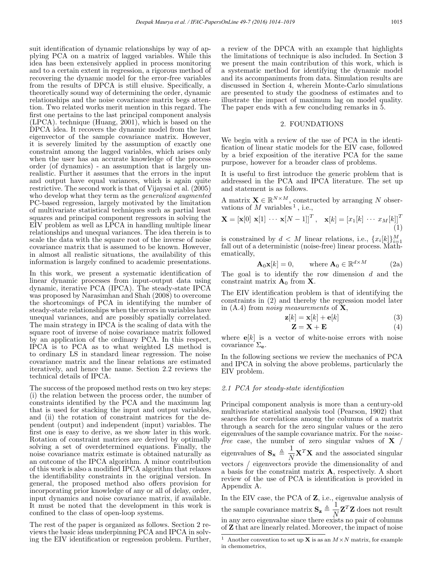suit identification of dynamic relationships by way of applying PCA on a matrix of lagged variables. While this idea has been extensively applied in process monitoring and to a certain extent in regression, a rigorous method of recovering the dynamic model for the error-free variables from the results of DPCA is still elusive. Specifically, a theoretically sound way of determining the order, dynamic relationships and the noise covariance matrix begs attention. Two related works merit mention in this regard. The first one pertains to the last principal component analysis (LPCA). technique (Huang, 2001), which is based on the DPCA idea. It recovers the dynamic model from the last eigenvector of the sample covariance matrix. However, it is severely limited by the assumption of exactly one constraint among the lagged variables, which arises only when the user has an accurate knowledge of the process order (of dynamics) - an assumption that is largely unrealistic. Further it assumes that the errors in the input and output have equal variances, which is again quite restrictive. The second work is that of Vijaysai et al. (2005) who develop what they term as the *generalized augmented* PC-based regression, largely motivated by the limitation of multivariate statistical techniques such as partial least squares and principal component regressors in solving the EIV problem as well as LPCA in handling multiple linear relationships and unequal variances. The idea therein is to scale the data with the square root of the inverse of noise covariance matrix that is assumed to be known. However, in almost all realistic situations, the availability of this information is largely confined to academic presentations.

In this work, we present a systematic identification of linear dynamic processes from input-output data using dynamic, iterative PCA (IPCA). The steady-state IPCA was proposed by Narasimhan and Shah (2008) to overcome the shortcomings of PCA in identifying the number of steady-state relationships when the errors in variables have unequal variances, and are possibly spatially correlated. The main strategy in IPCA is the scaling of data with the square root of inverse of noise covariance matrix followed by an application of the ordinary PCA. In this respect, IPCA is to PCA as to what weighted LS method is to ordinary LS in standard linear regression. The noise covariance matrix and the linear relations are estimated iteratively, and hence the name. Section 2.2 reviews the technical details of IPCA.

The success of the proposed method rests on two key steps: (i) the relation between the process order, the number of constraints identified by the PCA and the maximum lag that is used for stacking the input and output variables, and (ii) the rotation of constraint matrices for the dependent (output) and independent (input) variables. The first one is easy to derive, as we show later in this work. Rotation of constraint matrices are derived by optimally solving a set of overdetermined equations. Finally, the noise covariance matrix estimate is obtained naturally as an outcome of the IPCA algorithm. A minor contribution of this work is also a modified IPCA algorithm that relaxes the identifiability constraints in the original version. In general, the proposed method also offers provision for incorporating prior knowledge of any or all of delay, order, input dynamics and noise covariance matrix, if available. It must be noted that the development in this work is confined to the class of open-loop systems.

The rest of the paper is organized as follows. Section 2 reviews the basic ideas underpinning PCA and IPCA in solving the EIV identification or regression problem. Further, a review of the DPCA with an example that highlights the limitations of technique is also included. In Section 3 we present the main contribution of this work, which is a systematic method for identifying the dynamic model and its accompaniments from data. Simulation results are discussed in Section 4, wherein Monte-Carlo simulations are presented to study the goodness of estimates and to illustrate the impact of maximum lag on model quality. The paper ends with a few concluding remarks in 5.

#### 2. FOUNDATIONS

We begin with a review of the use of PCA in the identification of linear static models for the EIV case, followed by a brief exposition of the iterative PCA for the same purpose, however for a broader class of problems.

It is useful to first introduce the generic problem that is addressed in the PCA and IPCA literature. The set up and statement is as follows.

A matrix  $\mathbf{X} \in \mathbb{R}^{N \times M}$ , constructed by arranging N observations of M variables<sup>1</sup>, i.e.,

$$
\mathbf{X} = \left[\mathbf{x}[0] \; \mathbf{x}[1] \; \cdots \; \mathbf{x}[N-1]\right]^T, \quad \mathbf{x}[k] = \left[x_1[k] \; \cdots \; x_M[k]\right]^T
$$
\n(1)

is constrained by  $d \leq M$  linear relations, i.e.,  $\{x_i[k]\}_{i=1}^M$ fall out of a deterministic (noise-free) linear process. Mathematically,

$$
\mathbf{A}_0 \mathbf{x}[k] = 0, \qquad \text{where } \mathbf{A}_0 \in \mathbb{R}^{d \times M} \tag{2a}
$$

The goal is to identify the row dimension  $d$  and the constraint matrix  $A_0$  from X.

The EIV identification problem is that of identifying the constraints in (2) and thereby the regression model later in  $(A.4)$  from *noisy measurements* of **X**,

$$
\mathbf{z}[k] = \mathbf{x}[k] + \mathbf{e}[k] \tag{3}
$$

$$
\mathbf{Z} = \mathbf{X} + \mathbf{E} \tag{4}
$$

where  $e[k]$  is a vector of white-noise errors with noise covariance  $\Sigma_{\mathbf{e}}$ .

In the following sections we review the mechanics of PCA and IPCA in solving the above problems, particularly the EIV problem.

#### 2.1 PCA for steady-state identification

Principal component analysis is more than a century-old multivariate statistical analysis tool (Pearson, 1902) that searches for correlations among the columns of a matrix through a search for the zero singular values or the zero eigenvalues of the sample covariance matrix. For the *noise*free case, the number of zero singular values of  $X /$ eigenvalues of  $\mathbf{S}_{\mathbf{x}} \triangleq \frac{1}{N} \mathbf{X}^T \mathbf{X}$  and the associated singular vectors / eigenvectors provide the dimensionality of and a basis for the constraint matrix A, respectively. A short review of the use of PCA is identification is provided in Appendix A.

In the EIV case, the PCA of Z, i.e., eigenvalue analysis of the sample covariance matrix  $\mathbf{S}_{\mathbf{z}} \triangleq \frac{1}{N} \mathbf{Z}^T \mathbf{Z}$  does not result in any zero eigenvalue since there exists no pair of columns of Z that are linearly related. Moreover, the impact of noise

<sup>&</sup>lt;sup>1</sup> Another convention to set up **X** is as an  $M \times N$  matrix, for example in chemometrics,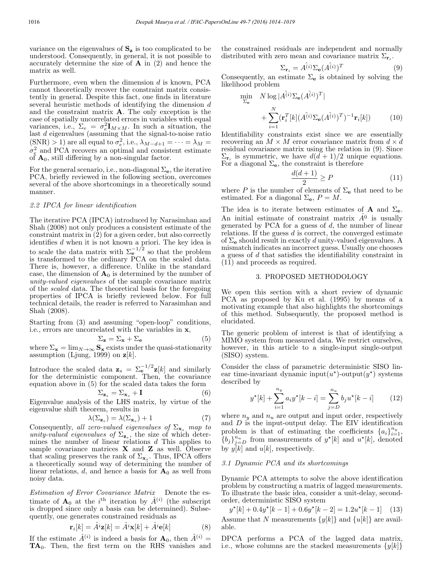min

variance on the eigenvalues of  $S_z$  is too complicated to be understood. Consequently, in general, it is not possible to accurately determine the size of A in (2) and hence the matrix as well.

Furthermore, even when the dimension  $d$  is known, PCA cannot theoretically recover the constraint matrix consistently in general. Despite this fact, one finds in literature several heuristic methods of identifying the dimension d and the constraint matrix A. The only exception is the case of spatially uncorrelated errors in variables with equal variances, i.e.,  $\Sigma_e = \sigma_e^2 \mathbf{I}_{M \times M}$ . In such a situation, the last d eigenvalues (assuming that the signal-to-noise ratio  $(SNR) > 1$ ) are all equal to  $\sigma_e^2$ , i.e.,  $\lambda_{M-d+1} = \cdots = \lambda_M =$  $\sigma_{\epsilon}^2$  and PCA recovers an optimal and consistent estimate of  $\mathbf{A}_0$ , still differing by a non-singular factor.

For the general scenario, i.e., non-diagonal  $\Sigma_{\mathbf{e}}$ , the iterative PCA, briefly reviewed in the following section, overcomes several of the above shortcomings in a theoretically sound manner.

## 2.2 IPCA for linear identification

The iterative PCA (IPCA) introduced by Narasimhan and Shah (2008) not only produces a consistent estimate of the constraint matrix in  $(2)$  for a given order, but also correctly identifies d when it is not known a priori. The key idea is to scale the data matrix with  $\Sigma_e^{-1/2}$  so that the problem is transformed to the ordinary PCA on the scaled data. There is, however, a difference. Unlike in the standard case, the dimension of  $A_0$  is determined by the number of unity-valued eigenvalues of the sample covariance matrix of the scaled data. The theoretical basis for the foregoing properties of IPCA is briefly reviewed below. For full technical details, the reader is referred to Narasimhan and Shah (2008).

Starting from (3) and assuming "open-loop" conditions, i.e., errors are uncorrelated with the variables in x,

$$
\Sigma_{\mathbf{z}} = \Sigma_{\mathbf{x}} + \Sigma_{\mathbf{e}} \tag{5}
$$

where  $\Sigma_{\mathbf{x}} = \lim_{N \to \infty} \mathbf{S}_{\mathbf{x}}$  exists under the quasi-stationarity assumption (Ljung, 1999) on  $\mathbf{z}[k]$ .

Introduce the scaled data  $\mathbf{z}_s = \sum_{\mathbf{e}}^{-1/2} \mathbf{z}[k]$  and similarly for the deterministic component. Then, the covariance equation above in (5) for the scaled data takes the form

$$
\Sigma_{\mathbf{z}_s} = \Sigma_{\mathbf{x}_s} + \mathbf{I} \tag{6}
$$

Eigenvalue analysis of the LHS matrix, by virtue of the eigenvalue shift theorem, results in

$$
\lambda(\Sigma_{\mathbf{z}_s}) = \lambda(\Sigma_{\mathbf{x}_s}) + 1 \tag{7}
$$

Consequently, all zero-valued eigenvalues of  $\Sigma_{\mathbf{x}_s}$  map to unity-valued eigenvalues of  $\Sigma_{z_s}$ , the size of which determines the number of linear relations d This applies to sample covariance matrices  $X$  and  $Z$  as well. Observe that scaling preserves the rank of  $\Sigma_{\mathbf{x}}$ . Thus, IPCA offers a theoretically sound way of determining the number of linear relations,  $d$ , and hence a basis for  $\mathbf{A}_0$  as well from noisy data.

Estimation of Error Covariance Matrix Denote the estimate of  $A_0$  at the i<sup>th</sup> iteration by  $\hat{A}^{(i)}$  (the subscript is dropped since only a basis can be determined). Subsequently, one generates constrained residuals as

$$
\mathbf{r}_i[k] = \hat{A}^i \mathbf{z}[k] = \hat{A}^i \mathbf{x}[k] + \hat{A}^i \mathbf{e}[k] \tag{8}
$$

If the estimate  $\hat{A}^{(i)}$  is indeed a basis for  $\mathbf{A}_0$ , then  $\hat{A}^{(i)}$  =  $TA_0$ . Then, the first term on the RHS vanishes and the constrained residuals are independent and normally distributed with zero mean and covariance matrix  $\Sigma_{\mathbf{r}_i}$ .

$$
\Sigma_{\mathbf{r}_i} = \hat{A^{(i)}} \Sigma_{\mathbf{e}} (\hat{A^{(i)}})^T
$$
\n(9)

Consequently, an estimate  $\Sigma_e$  is obtained by solving the likelihood problem

$$
\min_{\Sigma_{\mathbf{e}}} N \log |A^{\hat{i}j} \Sigma_{\mathbf{e}} (A^{\hat{i}j})^T|
$$
\n
$$
+ \sum_{i=1}^N (\mathbf{r}_i^T [k] (A^{\hat{i}j} \Sigma_{\mathbf{e}} (A^{\hat{i}j})^T)^{-1} \mathbf{r}_i[k]) \tag{10}
$$

Identifiability constraints exist since we are essentially recovering an  $M \times M$  error covariance matrix from  $d \times d$ residual covariance matrix using the relation in (9). Since  $\Sigma_{\mathbf{r}_i}$  is symmetric, we have  $d(d+1)/2$  unique equations. For a diagonal  $\Sigma_e$ , the constraint is therefore

$$
\frac{d(d+1)}{2} \ge P \tag{11}
$$

where P is the number of elements of  $\Sigma_e$  that need to be estimated. For a diagonal  $\Sigma_e$ ,  $P = M$ .

The idea is to iterate between estimates of **A** and  $\Sigma_e$ . An initial estimate of constraint matrix  $\hat{A}^0$  is usually generated by PCA for a guess of  $d$ , the number of linear relations. If the guess  $d$  is correct, the converged estimate of  $\Sigma_e$  should result in exactly d unity-valued eigenvalues. A mismatch indicates an incorrect guess. Usually one chooses a guess of d that satisfies the identifiability constraint in (11) and proceeds as required.

## 3. PROPOSED METHODOLOGY

We open this section with a short review of dynamic PCA as proposed by Ku et al. (1995) by means of a motivating example that also highlights the shortcomings of this method. Subsequently, the proposed method is elucidated.

The generic problem of interest is that of identifying a MIMO system from measured data. We restrict ourselves, however, in this article to a single-input single-output (SISO) system.

Consider the class of parametric deterministic SISO linear time-invariant dynamic input( $u^*$ )-output( $y^*$ ) systems described by

$$
y^{\star}[k] + \sum_{i=1}^{n_y} a_i y^{\star}[k-i] = \sum_{j=D}^{n_u} b_j u^{\star}[k-i] \qquad (12)
$$

where  $n_y$  and  $n_u$  are output and input order, respectively and  $D$  is the input-output delay. The EIV identification problem is that of estimating the coefficients  ${a_i}_{i=1}^{n_y}$  $\{b_j\}_{j=D}^{n_u}$  from measurements of  $y^{\star}[k]$  and  $u^{\star}[k]$ , denoted by  $y[k]$  and  $u[k]$ , respectively.

### 3.1 Dynamic PCA and its shortcomings

Dynamic PCA attempts to solve the above identification problem by constructing a matrix of lagged measurements. To illustrate the basic idea, consider a unit-delay, secondorder, deterministic SISO system

 $y^{\star}[k] + 0.4y^{\star}[k - 1] + 0.6y^{\star}[k - 2] = 1.2u^{\star}[k - 1]$  (13) Assume that N measurements  $\{y[k]\}$  and  $\{u[k]\}$  are available.

DPCA performs a PCA of the lagged data matrix, i.e., whose columns are the stacked measurements  $\{y[k]\}$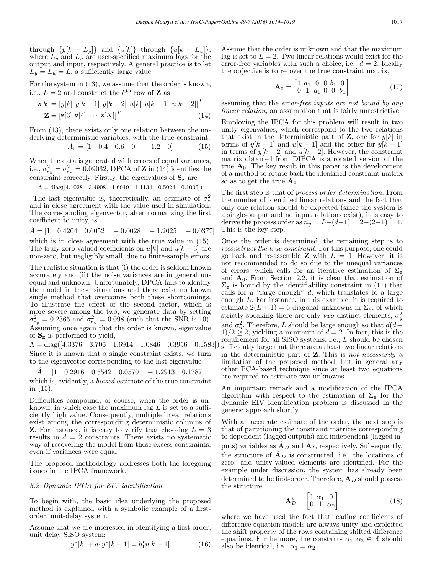through  $\{y[k - L_y]\}$  and  $\{u[k]\}$  through  $\{u[k - L_u]\},$ where  $L_y$  and  $L_u$  are user-specified maximum lags for the output and input, respectively. A general practice is to let  $L_y = L_u = L$ , a sufficiently large value.

For the system in (13), we assume that the order is known, i.e.,  $L = 2$  and construct the  $k^{\text{th}}$  row of **Z** as

$$
\mathbf{z}[k] = \begin{bmatrix} y[k] & y[k-1] & y[k-2] & u[k] & u[k-1] & u[k-2] \end{bmatrix}^T
$$
\n
$$
\mathbf{Z} = \begin{bmatrix} \mathbf{z}[3] & \mathbf{z}[4] & \cdots & \mathbf{z}[N] \end{bmatrix}^T \tag{14}
$$

From (13), there exists only one relation between the underlying deterministic variables, with the true constraint:  $A = [1 \quad 0 \quad 4 \quad 0 \quad 6 \quad 0]$ 

$$
A_0 = \begin{bmatrix} 1 & 0.4 & 0.6 & 0 & -1.2 & 0 \end{bmatrix} \tag{15}
$$

When the data is generated with errors of equal variances, i.e.,  $\sigma_{e_y}^2 = \sigma_{e_u}^2 = 0.09032$ , DPCA of **Z** in (14) identifies the constraint correctly. Firstly, the eigenvalues of  $S_z$  are

$$
\Lambda = diag([4.1028 \quad 3.4908 \quad 1.6919 \quad 1.1134 \quad 0.5024 \quad 0.1035])
$$

The last eigenvalue is, theoretically, an estimate of  $\sigma_e^2$ and in close agreement with the value used in simulation. The corresponding eigenvector, after normalizing the first coefficient to unity, is

 $\ddot{A} = \begin{bmatrix} 1 & 0.4204 & 0.6052 & -0.0028 & -1.2025 & -0.0377 \end{bmatrix}$ which is in close agreement with the true value in (15).

The truly zero-valued coefficients on  $u[k]$  and  $u[k-3]$  are non-zero, but negligibly small, due to finite-sample errors.

The realistic situation is that (i) the order is seldom known accurately and (ii) the noise variances are in general unequal and unknown. Unfortunately, DPCA fails to identify the model in these situations and there exist no known single method that overcomes both these shortcomings. To illustrate the effect of the second factor, which is more severe among the two, we generate data by setting  $\sigma_{e_y}^2 = 0.2365$  and  $\sigma_{e_u}^2 = 0.098$  (such that the SNR is 10). Assuming once again that the order is known, eigenvalue of  $S_z$  is performed to yield,

 $\Lambda = diag([4.3376 \quad 3.706 \quad 1.6914 \quad 1.0846 \quad 0.3956 \quad 0.1583])$ Since it is known that a single constraint exists, we turn to the eigenvector corresponding to the last eigenvalue

 $A = \begin{bmatrix} 1 & 0.2916 & 0.5542 & 0.0570 & -1.2913 & 0.1787 \end{bmatrix}$ which is, evidently, a *biased* estimate of the true constraint in (15).

Difficulties compound, of course, when the order is unknown, in which case the maximum lag  $L$  is set to a sufficiently high value. Consequently, multiple linear relations exist among the corresponding deterministic columns of **Z**. For instance, it is easy to verify that choosing  $L = 3$ results in  $d = 2$  constraints. There exists no systematic way of recovering the model from these excess constraints, even if variances were equal.

The proposed methodology addresses both the foregoing issues in the IPCA framework.

## 3.2 Dynamic IPCA for EIV identification

To begin with, the basic idea underlying the proposed method is explained with a symbolic example of a firstorder, unit-delay system.

Assume that we are interested in identifying a first-order, unit delay SISO system:

$$
y^{\star}[k] + a_1 y^{\star}[k-1] = b_1^{\star} u[k-1]
$$
 (16)

Assume that the order is unknown and that the maximum lag is set to  $L = 2$ . Two linear relations would exist for the error-free variables with such a choice, i.e.,  $d = 2$ . Ideally the objective is to recover the true constraint matrix,

$$
\mathbf{A}_0 = \begin{bmatrix} 1 & a_1 & 0 & 0 & b_1 & 0 \\ 0 & 1 & a_1 & 0 & 0 & b_1 \end{bmatrix} \tag{17}
$$

assuming that the error-free inputs are not bound by any linear relation, an assumption that is fairly unrestrictive.

Employing the IPCA for this problem will result in two unity eigenvalues, which correspond to the two relations that exist in the deterministic part of  $Z$ , one for  $y[k]$  in terms of  $y[k-1]$  and  $u[k-1]$  and the other for  $y[k-1]$ in terms of  $y[k-2]$  and  $u[k-2]$ . However, the constraint matrix obtained from DIPCA is a rotated version of the true  $A_0$ . The key result in this paper is the development of a method to rotate back the identified constraint matrix so as to get the true  $A_0$ .

The first step is that of process order determination. From the number of identified linear relations and the fact that only one relation should be expected (since the system is a single-output and no input relations exist), it is easy to derive the process order as  $n_y = L-(d-1) = 2-(2-1) = 1$ . This is the key step.

Once the order is determined, the remaining step is to reconstruct the true constraint. For this purpose, one could go back and re-assemble **Z** with  $L = 1$ . However, it is not recommended to do so due to the unequal variances of errors, which calls for an iterative estimation of  $\Sigma_e$ and  $A_0$ . From Section 2.2, it is clear that estimation of  $\Sigma_e$  is bound by the identifiability constraint in (11) that calls for a "large enough"  $d$ , which translates to a large enough L. For instance, in this example, it is required to estimate  $2(L+1) = 6$  diagonal unknowns in  $\Sigma_e$ , of which strictly speaking there are only *two* distinct elements,  $\sigma_y^2$ and  $\sigma_u^2$ . Therefore, L should be large enough so that  $d(d+$  $1/2 \geq 2$ , yielding a minimum of  $d = 2$ . In fact, this is the requirement for all SISO systems, i.e., L should be chosen sufficiently large that there are at least two linear relations in the deterministic part of Z. This is not necessarily a limitation of the proposed method, but in general any other PCA-based technique since at least two equations are required to estimate two unknowns.

An important remark and a modification of the IPCA algorithm with respect to the estimation of  $\Sigma_e$  for the dynamic EIV identification problem is discussed in the generic approach shortly.

With an accurate estimate of the order, the next step is that of partitioning the constraint matrices corresponding to dependent (lagged outputs) and independent (lagged inputs) variables as  $\mathbf{A}_D$  and  $\mathbf{A}_I$ , respectively. Subsequently, the structure of  $\hat{A}_D$  is constructed, i.e., the locations of zero- and unity-valued elements are identified. For the example under discussion, the system has already been determined to be first-order. Therefore,  $\mathbf{A}_D$  should possess the structure

$$
\mathbf{A}_{D}^{\star} = \begin{bmatrix} 1 & \alpha_1 & 0 \\ 0 & 1 & \alpha_2 \end{bmatrix} \tag{18}
$$

where we have used the fact that leading coefficients of difference equation models are always unity and exploited the shift property of the rows containing shifted difference equations. Furthermore, the constants  $\alpha_1, \alpha_2 \in \mathbb{R}$  should also be identical, i.e.,  $\alpha_1 = \alpha_2$ .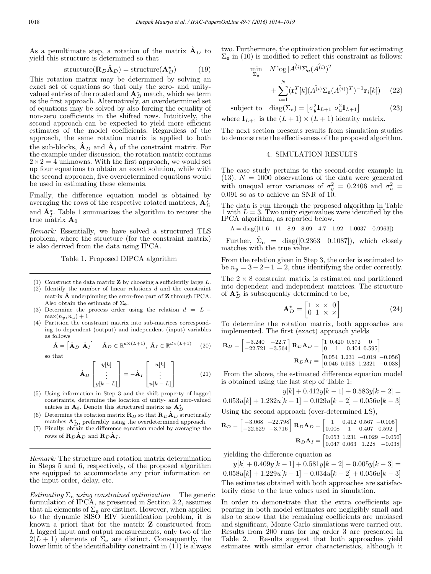As a penultimate step, a rotation of the matrix  $\mathbf{A}_D$  to yield this structure is determined so that

$$
structure(\mathbf{R}_D \hat{\mathbf{A}}_D) = structure(\mathbf{A}_D^*)
$$
 (19)

This rotation matrix may be determined by solving an exact set of equations so that only the zero- and unityvalued entries of the rotated and  $\mathbf{A}_{D}^{*}$  match, which we term as the first approach. Alternatively, an overdetermined set of equations may be solved by also forcing the equality of non-zero coefficients in the shifted rows. Intuitively, the second approach can be expected to yield more efficient estimates of the model coefficients. Regardless of the approach, the same rotation matrix is applied to both the sub-blocks,  $\mathbf{A}_D$  and  $\mathbf{A}_I$  of the constraint matrix. For the example under discussion, the rotation matrix contains  $2\times 2=4$  unknowns. With the first approach, we would set up four equations to obtain an exact solution, while with the second approach, five overdetermined equations would be used in estimating these elements.

Finally, the difference equation model is obtained by averaging the rows of the respective rotated matrices,  $\mathbf{A}_{D}^{\star}$ and  $\hat{A}_{I}^{\star}$ . Table 1 summarizes the algorithm to recover the true matrix  $A_0$ 

Remark: Essentially, we have solved a structured TLS problem, where the structure (for the constraint matrix) is also derived from the data using IPCA.

#### Table 1. Proposed DIPCA algorithm

- (1) Construct the data matrix  $\mathbf{Z}$  by choosing a sufficiently large  $L$ .
- $(2)$  Identify the number of linear relations d and the constraint matrix  $\hat{A}$  underpinning the error-free part of  $Z$  through IPCA. Also obtain the estimate of  $\Sigma_{\mathbf{e}}$ .
- (3) Determine the process order using the relation  $d = L \max(n_y, n_u)+1$
- (4) Partition the constraint matrix into sub-matrices corresponding to dependent (output) and independent (input) variables as follows

$$
\hat{\mathbf{A}} = \begin{bmatrix} \hat{\mathbf{A}}_D & \hat{\mathbf{A}}_I \end{bmatrix} \quad \hat{\mathbf{A}}_D \in \mathbb{R}^{d \times (L+1)}, \ \hat{\mathbf{A}}_I \in \mathbb{R}^{d \times (L+1)} \quad (20)
$$

so that

$$
\hat{\mathbf{A}}_D \begin{bmatrix} y[k] \\ \vdots \\ y[k-L] \end{bmatrix} = -\hat{\mathbf{A}}_I \begin{bmatrix} u[k] \\ \vdots \\ u[k-L] \end{bmatrix}
$$
(21)

- (5) Using information in Step 3 and the shift property of lagged constraints, determine the location of unity- and zero-valued entries in  $\mathbf{A}_0$ . Denote this structured matrix as  $\mathbf{A}^{\star}_D$
- (6) Determine the rotation matrix  $\mathbf{R}_D$  so that  $\mathbf{R}_D \hat{\mathbf{A}}_D$  structurally matches  $\mathbf{A}_{D}^{\star}$ , preferably using the overdetermined approach.
- (7) Finally, obtain the difference equation model by averaging the rows of  $\mathbf{R}_D \mathbf{A}_D$  and  $\mathbf{R}_D \mathbf{A}_I$ .

Remark: The structure and rotation matrix determination in Steps 5 and 6, respectively, of the proposed algorithm are equipped to accommodate any prior information on the input order, delay, etc.

Estimating  $\Sigma_e$  using constrained optimization The generic formulation of IPCA, as presented in Section 2.2, assumes that all elements of  $\Sigma_e$  are distinct. However, when applied to the dynamic SISO EIV identification problem, it is known a priori that for the matrix Z constructed from L lagged input and output measurements, only two of the  $2(L + 1)$  elements of  $\Sigma_e$  are distinct. Consequently, the lower limit of the identifiability constraint in (11) is always

two. Furthermore, the optimization problem for estimating  $\Sigma_e$  in (10) is modified to reflect this constraint as follows:

$$
\min_{\Sigma_{\mathbf{e}}} N \log |A^{\hat{i} \cdot \hat{j}} \Sigma_{\mathbf{e}} (A^{\hat{i} \cdot \hat{j}})^{T}|
$$
  
+ 
$$
\sum_{i=1}^{N} (\mathbf{r}_{i}^{T} [k] (A^{\hat{i} \cdot \hat{j}} \Sigma_{\mathbf{e}} (A^{\hat{i} \cdot \hat{j}})^{T})^{-1} \mathbf{r}_{i} [k])
$$
 (22)

subject to  $\text{diag}(\Sigma_e) = \left[\sigma_y^2 \mathbf{I}_{L+1} \ \sigma_u^2 \mathbf{I}_{L+1}\right]$  (23) where  $I_{L+1}$  is the  $(L + 1) \times (L + 1)$  identity matrix.

The next section presents results from simulation studies to demonstrate the effectiveness of the proposed algorithm.

### 4. SIMULATION RESULTS

The case study pertains to the second-order example in (13).  $N = 1000$  observations of the data were generated with unequal error variances of  $\sigma_y^2 = 0.2406$  and  $\sigma_u^2 =$ 0.091 so as to achieve an SNR of 10.

The data is run through the proposed algorithm in Table 1 with  $L = 3$ . Two unity eigenvalues were identified by the IPCA algorithm, as reported below.

$$
\Lambda = diag([11.6 \quad 11 \quad 8.9 \quad 8.09 \quad 4.7 \quad 1.92 \quad 1.0037 \quad 0.9963])
$$

Further,  $\hat{\Sigma}_{\mathbf{e}}$  = diag([0.2363 0.1087]), which closely matches with the true value.

From the relation given in Step 3, the order is estimated to be  $n_y = 3-2+1=2$ , thus identifying the order correctly.

The  $2 \times 8$  constraint matrix is estimated and partitioned into dependent and independent matrices. The structure of  $A_D^*$  is subsequently determined to be,

$$
\mathbf{A}_{D}^{\star} = \begin{bmatrix} 1 & \times & \times & 0 \\ 0 & 1 & \times & \times \end{bmatrix} \tag{24}
$$

To determine the rotation matrix, both approaches are implemented. The first (exact) approach yields

$$
\mathbf{R}_{D} = \begin{bmatrix} -3.240 & -22.7 \\ -22.721 & -3.564 \end{bmatrix} \mathbf{R}_{D} \mathbf{A}_{D} = \begin{bmatrix} 1 & 0.420 & 0.572 & 0 \\ 0 & 1 & 0.404 & 0.595 \end{bmatrix}
$$

$$
\mathbf{R}_{D} \mathbf{A}_{I} = \begin{bmatrix} 0.054 & 1.231 & -0.019 & -0.056 \\ 0.046 & 0.053 & 1.2321 & -0.038 \end{bmatrix}
$$

From the above, the estimated difference equation model is obtained using the last step of Table 1:

 $y[k]+0.412y[k-1]+0.583y[k-2] =$  $0.053u[k]+1.232u[k-1]-0.029u[k-2]-0.056u[k-3]$ Using the second approach (over-determined LS),

$$
\mathbf{R}_{D} = \begin{bmatrix} -3.068 & -22.798 \\ -22.529 & -3.716 \end{bmatrix} \mathbf{R}_{D} \mathbf{A}_{D} = \begin{bmatrix} 1 & 0.412 & 0.567 & -0.005 \\ 0.008 & 1 & 0.407 & 0.592 \end{bmatrix}
$$

$$
\mathbf{R}_{D} \mathbf{A}_{I} = \begin{bmatrix} 0.053 & 1.231 & -0.029 & -0.056 \\ 0.047 & 0.063 & 1.228 & -0.038 \end{bmatrix}
$$

yielding the difference equation as

 $y[k]+0.409y[k-1]+0.581y[k-2]-0.005y[k-3]=$  $0.058u[k]+1.229u[k-1]-0.034u[k-2]+0.056u[k-3]$ The estimates obtained with both approaches are satisfactorily close to the true values used in simulation.

In order to demonstrate that the extra coefficients appearing in both model estimates are negligibly small and also to show that the remaining coefficients are unbiased and significant, Monte Carlo simulations were carried out. Results from 200 runs for lag order 3 are presented in Table 2. Results suggest that both approaches yield estimates with similar error characteristics, although it